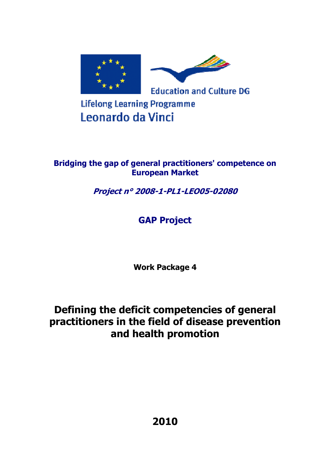

# **Lifelong Learning Programme** Leonardo da Vinci

### **Bridging the gap of general practitioners' competence on European Market**

**Project n° 2008-1-PL1-LEO05-02080** 

# **GAP Project**

**Work Package 4** 

# **Defining the deficit competencies of general practitioners in the field of disease prevention and health promotion**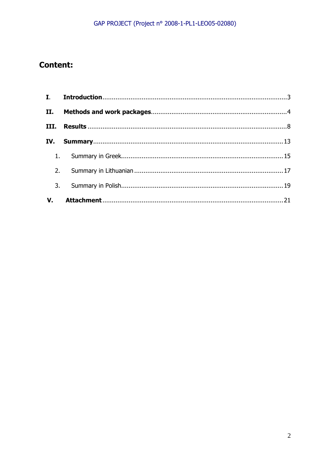## **Content:**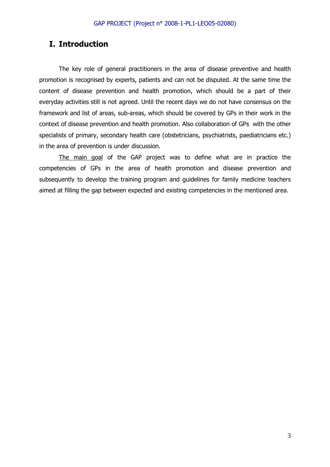### **I. Introduction**

The key role of general practitioners in the area of disease preventive and health promotion is recognised by experts, patients and can not be disputed. At the same time the content of disease prevention and health promotion, which should be a part of their everyday activities still is not agreed. Until the recent days we do not have consensus on the framework and list of areas, sub-areas, which should be covered by GPs in their work in the context of disease prevention and health promotion. Also collaboration of GPs with the other specialists of primary, secondary health care (obstetricians, psychiatrists, paediatricians etc.) in the area of prevention is under discussion.

The main goal of the GAP project was to define what are in practice the competencies of GPs in the area of health promotion and disease prevention and subsequently to develop the training program and guidelines for family medicine teachers aimed at filling the gap between expected and existing competencies in the mentioned area.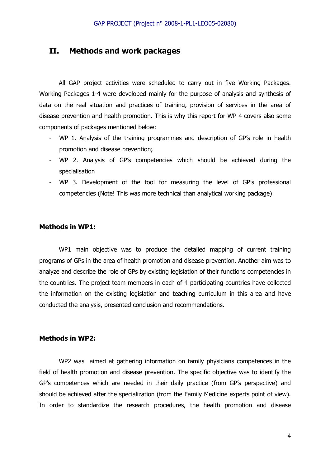### **II. Methods and work packages**

All GAP project activities were scheduled to carry out in five Working Packages. Working Packages 1-4 were developed mainly for the purpose of analysis and synthesis of data on the real situation and practices of training, provision of services in the area of disease prevention and health promotion. This is why this report for WP 4 covers also some components of packages mentioned below:

- WP 1. Analysis of the training programmes and description of GP's role in health promotion and disease prevention;
- WP 2. Analysis of GP's competencies which should be achieved during the specialisation
- WP 3. Development of the tool for measuring the level of GP's professional competencies (Note! This was more technical than analytical working package)

#### **Methods in WP1:**

WP1 main objective was to produce the detailed mapping of current training programs of GPs in the area of health promotion and disease prevention. Another aim was to analyze and describe the role of GPs by existing legislation of their functions competencies in the countries. The project team members in each of 4 participating countries have collected the information on the existing legislation and teaching curriculum in this area and have conducted the analysis, presented conclusion and recommendations.

### **Methods in WP2:**

WP2 was aimed at gathering information on family physicians competences in the field of health promotion and disease prevention. The specific objective was to identify the GP's competences which are needed in their daily practice (from GP's perspective) and should be achieved after the specialization (from the Family Medicine experts point of view). In order to standardize the research procedures, the health promotion and disease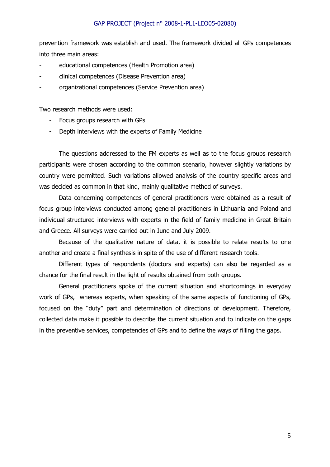prevention framework was establish and used. The framework divided all GPs competences into three main areas:

- educational competences (Health Promotion area)
- clinical competences (Disease Prevention area)
- organizational competences (Service Prevention area)

Two research methods were used:

- Focus groups research with GPs
- Depth interviews with the experts of Family Medicine

The questions addressed to the FM experts as well as to the focus groups research participants were chosen according to the common scenario, however slightly variations by country were permitted. Such variations allowed analysis of the country specific areas and was decided as common in that kind, mainly qualitative method of surveys.

Data concerning competences of general practitioners were obtained as a result of focus group interviews conducted among general practitioners in Lithuania and Poland and individual structured interviews with experts in the field of family medicine in Great Britain and Greece. All surveys were carried out in June and July 2009.

Because of the qualitative nature of data, it is possible to relate results to one another and create a final synthesis in spite of the use of different research tools.

Different types of respondents (doctors and experts) can also be regarded as a chance for the final result in the light of results obtained from both groups.

General practitioners spoke of the current situation and shortcomings in everyday work of GPs, whereas experts, when speaking of the same aspects of functioning of GPs, focused on the "duty" part and determination of directions of development. Therefore, collected data make it possible to describe the current situation and to indicate on the gaps in the preventive services, competencies of GPs and to define the ways of filling the gaps.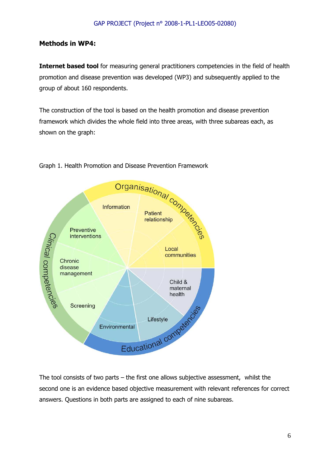### **Methods in WP4:**

**Internet based tool** for measuring general practitioners competencies in the field of health promotion and disease prevention was developed (WP3) and subsequently applied to the group of about 160 respondents.

The construction of the tool is based on the health promotion and disease prevention framework which divides the whole field into three areas, with three subareas each, as shown on the graph:



The tool consists of two parts – the first one allows subjective assessment, whilst the second one is an evidence based objective measurement with relevant references for correct answers. Questions in both parts are assigned to each of nine subareas.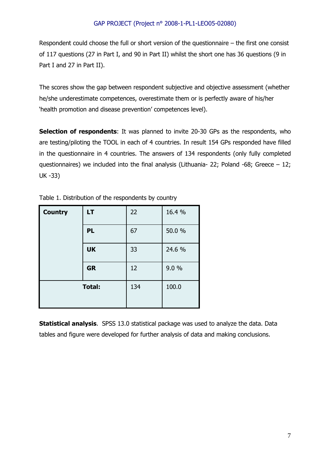Respondent could choose the full or short version of the questionnaire – the first one consist of 117 questions (27 in Part I, and 90 in Part II) whilst the short one has 36 questions (9 in Part I and 27 in Part II).

The scores show the gap between respondent subjective and objective assessment (whether he/she underestimate competences, overestimate them or is perfectly aware of his/her 'health promotion and disease prevention' competences level).

**Selection of respondents:** It was planned to invite 20-30 GPs as the respondents, who are testing/piloting the TOOL in each of 4 countries. In result 154 GPs responded have filled in the questionnaire in 4 countries. The answers of 134 respondents (only fully completed questionnaires) we included into the final analysis (Lithuania- 22; Poland -68; Greece – 12; UK -33)

| <b>Country</b> | <b>LT</b>     | 22  | 16.4 % |
|----------------|---------------|-----|--------|
|                | <b>PL</b>     | 67  | 50.0 % |
|                | <b>UK</b>     | 33  | 24.6 % |
|                | <b>GR</b>     | 12  | 9.0%   |
|                | <b>Total:</b> | 134 | 100.0  |

Table 1. Distribution of the respondents by country

**Statistical analysis.** SPSS 13.0 statistical package was used to analyze the data. Data tables and figure were developed for further analysis of data and making conclusions.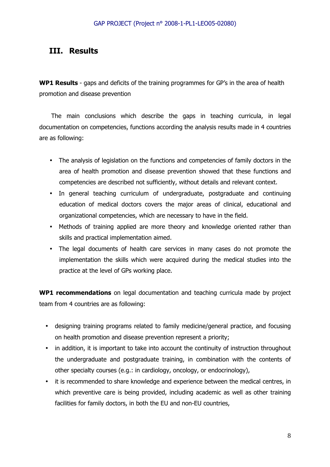### **III. Results**

**WP1 Results** - gaps and deficits of the training programmes for GP's in the area of health promotion and disease prevention

The main conclusions which describe the gaps in teaching curricula, in legal documentation on competencies, functions according the analysis results made in 4 countries are as following:

- The analysis of legislation on the functions and competencies of family doctors in the area of health promotion and disease prevention showed that these functions and competencies are described not sufficiently, without details and relevant context.
- In general teaching curriculum of undergraduate, postgraduate and continuing education of medical doctors covers the major areas of clinical, educational and organizational competencies, which are necessary to have in the field.
- Methods of training applied are more theory and knowledge oriented rather than skills and practical implementation aimed.
- The legal documents of health care services in many cases do not promote the implementation the skills which were acquired during the medical studies into the practice at the level of GPs working place.

**WP1 recommendations** on legal documentation and teaching curricula made by project team from 4 countries are as following:

- designing training programs related to family medicine/general practice, and focusing on health promotion and disease prevention represent a priority;
- in addition, it is important to take into account the continuity of instruction throughout the undergraduate and postgraduate training, in combination with the contents of other specialty courses (e.g.: in cardiology, oncology, or endocrinology),
- it is recommended to share knowledge and experience between the medical centres, in which preventive care is being provided, including academic as well as other training facilities for family doctors, in both the EU and non-EU countries,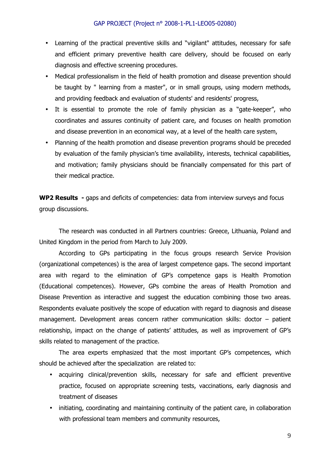- Learning of the practical preventive skills and "vigilant" attitudes, necessary for safe and efficient primary preventive health care delivery, should be focused on early diagnosis and effective screening procedures.
- Medical professionalism in the field of health promotion and disease prevention should be taught by " learning from a master", or in small groups, using modern methods, and providing feedback and evaluation of students' and residents' progress,
- It is essential to promote the role of family physician as a "gate-keeper", who coordinates and assures continuity of patient care, and focuses on health promotion and disease prevention in an economical way, at a level of the health care system,
- Planning of the health promotion and disease prevention programs should be preceded by evaluation of the family physician's time availability, interests, technical capabilities, and motivation; family physicians should be financially compensated for this part of their medical practice.

**WP2 Results -** gaps and deficits of competencies: data from interview surveys and focus group discussions.

The research was conducted in all Partners countries: Greece, Lithuania, Poland and United Kingdom in the period from March to July 2009.

According to GPs participating in the focus groups research Service Provision (organizational competences) is the area of largest competence gaps. The second important area with regard to the elimination of GP's competence gaps is Health Promotion (Educational competences). However, GPs combine the areas of Health Promotion and Disease Prevention as interactive and suggest the education combining those two areas. Respondents evaluate positively the scope of education with regard to diagnosis and disease management. Development areas concern rather communication skills: doctor – patient relationship, impact on the change of patients' attitudes, as well as improvement of GP's skills related to management of the practice.

The area experts emphasized that the most important GP's competences, which should be achieved after the specialization are related to:

- acquiring clinical/prevention skills, necessary for safe and efficient preventive practice, focused on appropriate screening tests, vaccinations, early diagnosis and treatment of diseases
- initiating, coordinating and maintaining continuity of the patient care, in collaboration with professional team members and community resources,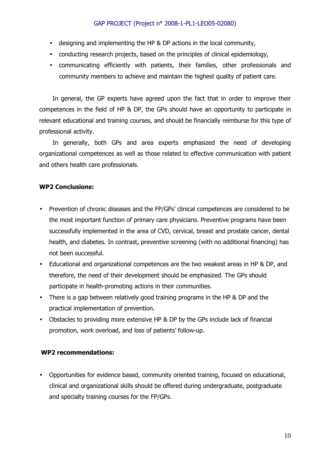- designing and implementing the HP & DP actions in the local community,
- conducting research projects, based on the principles of clinical epidemiology,
- communicating efficiently with patients, their families, other professionals and community members to achieve and maintain the highest quality of patient care.

In general, the GP experts have agreed upon the fact that in order to improve their competences in the field of HP & DP, the GPs should have an opportunity to participate in relevant educational and training courses, and should be financially reimburse for this type of professional activity.

In generally, both GPs and area experts emphasized the need of developing organizational competences as well as those related to effective communication with patient and others health care professionals.

### **WP2 Conclusions:**

- Prevention of chronic diseases and the FP/GPs' clinical competences are considered to be the most important function of primary care physicians. Preventive programs have been successfully implemented in the area of CVD, cervical, breast and prostate cancer, dental health, and diabetes. In contrast, preventive screening (with no additional financing) has not been successful.
- Educational and organizational competences are the two weakest areas in HP & DP, and therefore, the need of their development should be emphasized. The GPs should participate in health-promoting actions in their communities.
- There is a gap between relatively good training programs in the HP & DP and the practical implementation of prevention.
- Obstacles to providing more extensive HP & DP by the GPs include lack of financial promotion, work overload, and loss of patients' follow-up.

#### **WP2 recommendations:**

• Opportunities for evidence based, community oriented training, focused on educational, clinical and organizational skills should be offered during undergraduate, postgraduate and specialty training courses for the FP/GPs.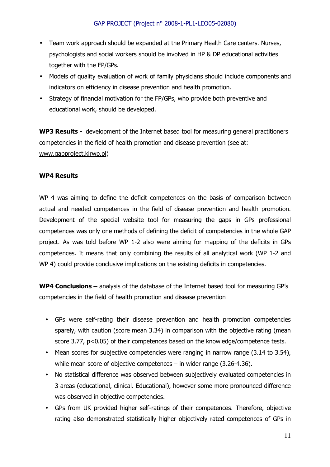- Team work approach should be expanded at the Primary Health Care centers. Nurses, psychologists and social workers should be involved in HP & DP educational activities together with the FP/GPs.
- Models of quality evaluation of work of family physicians should include components and indicators on efficiency in disease prevention and health promotion.
- Strategy of financial motivation for the FP/GPs, who provide both preventive and educational work, should be developed.

**WP3 Results -** development of the Internet based tool for measuring general practitioners competencies in the field of health promotion and disease prevention (see at: www.gapproject.klrwp.pl)

### **WP4 Results**

WP 4 was aiming to define the deficit competences on the basis of comparison between actual and needed competences in the field of disease prevention and health promotion. Development of the special website tool for measuring the gaps in GPs professional competences was only one methods of defining the deficit of competencies in the whole GAP project. As was told before WP 1-2 also were aiming for mapping of the deficits in GPs competences. It means that only combining the results of all analytical work (WP 1-2 and WP 4) could provide conclusive implications on the existing deficits in competencies.

**WP4 Conclusions –** analysis of the database of the Internet based tool for measuring GP's competencies in the field of health promotion and disease prevention

- GPs were self-rating their disease prevention and health promotion competencies sparely, with caution (score mean 3.34) in comparison with the objective rating (mean score 3.77, p<0.05) of their competences based on the knowledge/competence tests.
- Mean scores for subjective competencies were ranging in narrow range (3.14 to 3.54), while mean score of objective competences – in wider range (3.26-4.36).
- No statistical difference was observed between subjectively evaluated competencies in 3 areas (educational, clinical. Educational), however some more pronounced difference was observed in objective competencies.
- GPs from UK provided higher self-ratings of their competences. Therefore, objective rating also demonstrated statistically higher objectively rated competences of GPs in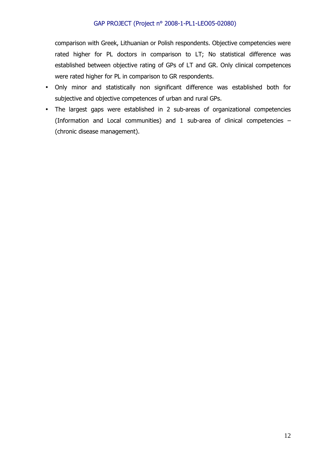comparison with Greek, Lithuanian or Polish respondents. Objective competencies were rated higher for PL doctors in comparison to LT; No statistical difference was established between objective rating of GPs of LT and GR. Only clinical competences were rated higher for PL in comparison to GR respondents.

- Only minor and statistically non significant difference was established both for subjective and objective competences of urban and rural GPs.
- The largest gaps were established in 2 sub-areas of organizational competencies (Information and Local communities) and 1 sub-area of clinical competencies – (chronic disease management).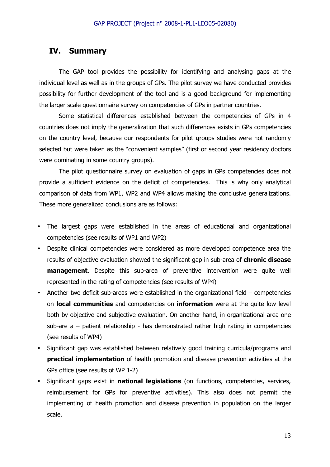### **IV. Summary**

The GAP tool provides the possibility for identifying and analysing gaps at the individual level as well as in the groups of GPs. The pilot survey we have conducted provides possibility for further development of the tool and is a good background for implementing the larger scale questionnaire survey on competencies of GPs in partner countries.

Some statistical differences established between the competencies of GPs in 4 countries does not imply the generalization that such differences exists in GPs competencies on the country level, because our respondents for pilot groups studies were not randomly selected but were taken as the "convenient samples" (first or second year residency doctors were dominating in some country groups).

The pilot questionnaire survey on evaluation of gaps in GPs competencies does not provide a sufficient evidence on the deficit of competencies. This is why only analytical comparison of data from WP1, WP2 and WP4 allows making the conclusive generalizations. These more generalized conclusions are as follows:

- The largest gaps were established in the areas of educational and organizational competencies (see results of WP1 and WP2)
- Despite clinical competencies were considered as more developed competence area the results of objective evaluation showed the significant gap in sub-area of **chronic disease management**. Despite this sub-area of preventive intervention were quite well represented in the rating of competencies (see results of WP4)
- Another two deficit sub-areas were established in the organizational field  $-$  competencies on **local communities** and competencies on **information** were at the quite low level both by objective and subjective evaluation. On another hand, in organizational area one sub-are  $a -$  patient relationship - has demonstrated rather high rating in competencies (see results of WP4)
- Significant gap was established between relatively good training curricula/programs and **practical implementation** of health promotion and disease prevention activities at the GPs office (see results of WP 1-2)
- Significant gaps exist in **national legislations** (on functions, competencies, services, reimbursement for GPs for preventive activities). This also does not permit the implementing of health promotion and disease prevention in population on the larger scale.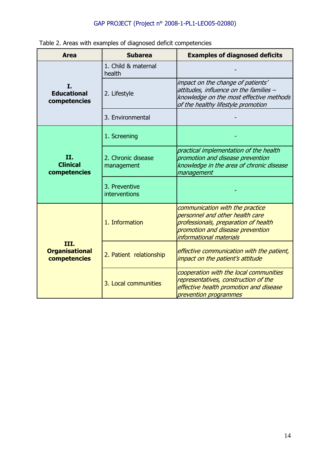|  |  | Table 2. Areas with examples of diagnosed deficit competencies |
|--|--|----------------------------------------------------------------|
|  |  |                                                                |

| <b>Area</b>                                   | <b>Subarea</b>                   | <b>Examples of diagnosed deficits</b>                                                                                                                                     |
|-----------------------------------------------|----------------------------------|---------------------------------------------------------------------------------------------------------------------------------------------------------------------------|
|                                               | 1. Child & maternal<br>health    |                                                                                                                                                                           |
| Ι.<br><b>Educational</b><br>competencies      | 2. Lifestyle                     | impact on the change of patients'<br>attitudes, influence on the families -<br>knowledge on the most effective methods<br>of the healthy lifestyle promotion              |
|                                               | 3. Environmental                 |                                                                                                                                                                           |
|                                               | 1. Screening                     |                                                                                                                                                                           |
| II.<br><b>Clinical</b><br>competencies        | 2. Chronic disease<br>management | practical implementation of the health<br>promotion and disease prevention<br>knowledge in the area of chronic disease<br>management                                      |
|                                               | 3. Preventive<br>interventions   |                                                                                                                                                                           |
|                                               | 1. Information                   | communication with the practice<br>personnel and other health care<br>professionals, preparation of health<br>promotion and disease prevention<br>informational materials |
| III.<br><b>Organisational</b><br>competencies | 2. Patient relationship          | effective communication with the patient,<br>impact on the patient's attitude                                                                                             |
|                                               | 3. Local communities             | cooperation with the local communities<br>representatives, construction of the<br>effective health promotion and disease<br>prevention programmes                         |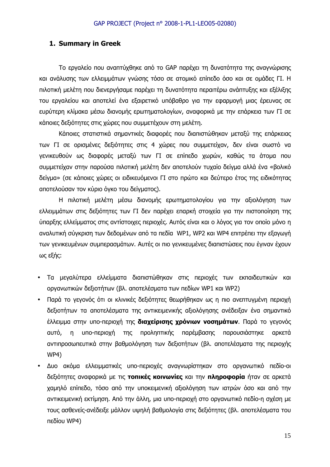### **1. Summary in Greek**

Το εργαλείο που αναπτύχθηκε από το GAP παρέχει τη δυνατότητα της αναγνώρισης και ανάλυσης των ελλειµµάτων γνώσης τόσο σε ατοµικό επίπεδο όσο και σε οµάδες ΓΙ. Η πιλοτική µελέτη που διενεργήσαµε παρέχει τη δυνατότητα περαιτέρω ανάπτυξης και εξέλιξης του εργαλείου και αποτελεί ένα εξαιρετικό υπόβαθρο για την εφαρµογή µιας έρευνας σε ευρύτερη κλίµακα µέσω διανοµής ερωτηµατολογίων, αναφορικά µε την επάρκεια των ΓΙ σε κάποιες δεξιότητες στις χώρες που συµµετέχουν στη µελέτη.

Κάποιες στατιστικά σηµαντικές διαφορές που διαπιστώθηκαν µεταξύ της επάρκειας των ΓΙ σε ορισµένες δεξιότητες στις 4 χώρες που συµµετείχαν, δεν είναι σωστό να γενικευθούν ως διαφορές µεταξύ των ΓΙ σε επίπεδο χωρών, καθώς τα άτοµα που συµµετείχαν στην παρούσα πιλοτική µελέτη δεν αποτελούν τυχαίο δείγµα αλλά ένα «βολικό δείγµα» (σε κάποιες χώρες οι ειδικευόµενοι ΓΙ στο πρώτο και δεύτερο έτος της ειδικότητας αποτελούσαν τον κύριο όγκο του δείγµατος).

Η πιλοτική µελέτη µέσω διανοµής ερωτηµατολογίου για την αξιολόγηση των ελλειµµάτων στις δεξιότητες των ΓΙ δεν παρέχει επαρκή στοιχεία για την πιστοποίηση της ύπαρξης ελλείµµατος στις αντίστοιχες περιοχές. Αυτός είναι και ο λόγος για τον οποίο µόνο η αναλυτική σύγκριση των δεδοµένων από τα πεδία WP1, WP2 και WP4 επιτρέπει την εξαγωγή των γενικευµένων συµπερασµάτων. Αυτές οι πιο γενικευµένες διαπιστώσεις που έγιναν έχουν ως εξής:

- Τα µεγαλύτερα ελλείµµατα διαπιστώθηκαν στις περιοχές των εκπαιδευτικών και οργανωτικών δεξιοτήτων (βλ. αποτελέσµατα των πεδίων WP1 και WP2)
- Παρά το γεγονός ότι οι κλινικές δεξιότητες θεωρήθηκαν ως η πιο ανεπτυγµένη περιοχή δεξιοτήτων τα αποτελέσµατα της αντικειµενικής αξιολόγησης ανέδειξαν ένα σηµαντικό έλλειµµα στην υπο-περιοχή της **διαχείρισης χρόνιων νοσηµάτων**. Παρά το γεγονός αυτό, η υπο-περιοχή της προληπτικής παρέµβασης παρουσιάστηκε αρκετά αντιπροσωπευτικά στην βαθµολόγηση των δεξιοτήτων (βλ. αποτελέσµατα της περιοχής WP4)
- ∆υο ακόµα ελλειµµατικές υπο-περιοχές αναγνωρίστηκαν στο οργανωτικό πεδίο-οι δεξιότητες αναφορικά µε τις **τοπικές κοινωνίες** και την **πληροφορία** ήταν σε αρκετά χαµηλό επίπεδο, τόσο από την υποκειµενική αξιολόγηση των ιατρών όσο και από την αντικειµενική εκτίµηση. Από την άλλη, µια υπο-περιοχή στο οργανωτικό πεδίο-η σχέση µε τους ασθενείς-ανέδειξε µάλλον υψηλή βαθµολογία στις δεξιότητες (βλ. αποτελέσµατα του πεδίου WP4)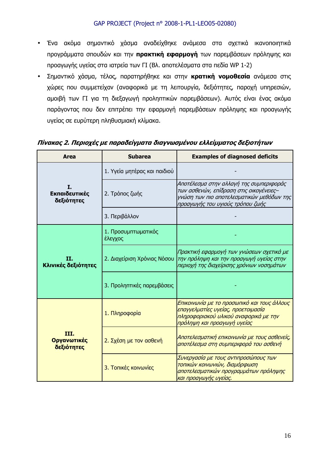- Ένα ακόµα σηµαντικό χάσµα αναδείχθηκε ανάµεσα στα σχετικά ικανοποιητικά προγράµµατα σπουδών και την **πρακτική εφαρµογή** των παρεµβάσεων πρόληψης και προαγωγής υγείας στα ιατρεία των ΓΙ (Βλ. αποτελέσµατα στα πεδία WP 1-2)
- Σηµαντικό χάσµα, τέλος, παρατηρήθηκε και στην **κρατική νοµοθεσία** ανάµεσα στις χώρες που συµµετείχαν (αναφορικά µε τη λειτουργία, δεξιότητες, παροχή υπηρεσιών, αµοιβή των ΓΙ για τη διεξαγωγή προληπτικών παρεµβάσεων). Αυτός είναι ένας ακόµα παράγοντας που δεν επιτρέπει την εφαρµογή παρεµβάσεων πρόληψης και προαγωγής υγείας σε ευρύτερη πληθυσµιακή κλίµακα.

| <b>Area</b><br><b>Subarea</b>     |                                | <b>Examples of diagnosed deficits</b>                                                                                                                               |
|-----------------------------------|--------------------------------|---------------------------------------------------------------------------------------------------------------------------------------------------------------------|
|                                   | 1. Υγεία μητέρας και παιδιού   |                                                                                                                                                                     |
| I.<br>Εκπαιδευτικές<br>δεξιότητες | 2. Τρόπος ζωής                 | Αποτέλεσμα στην αλλαγή της συμπεριφοράς<br>των ασθενών, επίδραση στις οικογένειες-<br>γνώση των πιο αποτελεσματικών μεθόδων της<br>προαγωγής του υγιούς τρόπου ζωής |
|                                   | 3. Περιβάλλον                  |                                                                                                                                                                     |
|                                   | 1. Προσυμπτωματικός<br>έλεγχος |                                                                                                                                                                     |
| П.<br>Κλινικές δεξιότητες         | 2. Διαχείριση Χρόνιας Νόσου    | Πρακτική εφαρμογή των γνώσεων σχετικά με<br>την πρόληψη και την προαγωγή υγείας στην<br>περιοχή της διαχείρισης χρόνιων νοσημάτων                                   |
|                                   | 3. Προληπτικές παρεμβάσεις     |                                                                                                                                                                     |
|                                   | 1. Πληροφορία                  | Επικοινωνία με το προσωπικό και τους άλλους<br>επαγγελματίες υγείας, προετοιμασία<br>πληροφοριακού υλικού αναφορικά με την<br>πρόληψη και προαγωγή υγείας           |
| III.<br>Οργανωτικές<br>δεξιότητες | 2. Σχέση με τον ασθενή         | Αποτελεσματική επικοινωνία με τους ασθενείς,<br>αποτέλεσμα στη συμπεριφορά του ασθενή                                                                               |
|                                   | 3. Τοπικές κοινωνίες           | Συνεργασία με τους αντιπροσώπους των<br>τοπικών κοινωνιών, διαμόρφωση<br>αποτελεσματικών προγραμμάτων πρόληψης<br>και προαγωγής υγείας.                             |

**Πίνακας 2. Περιοχές µε παραδείγµατα διαγνωσµένου ελλείµµατος δεξιοτήτων**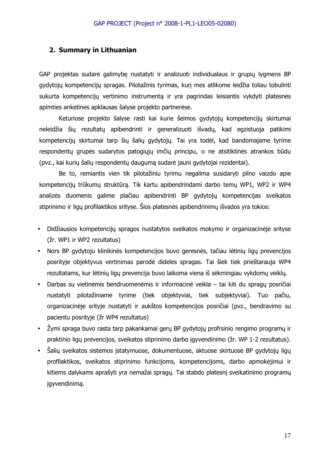#### **2. Summary in Lithuanian**

GAP projektas sudarė galimybę nustatyti ir analizuoti individualaus ir grupių lygmens BP gydytojų kompetencijų spragas. Pilotažinis tyrimas, kurį mes atlikome leidžia toliau tobulinti sukurta kompetencijų vertinimo instrumentą ir yra pagrindas leisiantis vykdyti platesnės apimties anketines apklausas šalyse projekto partnerėse.

Keturiose projekto šalyse rasti kai kurie šeimos gydytojų kompetencijų skirtumai neleidžia šių rezultatų apibendrinti ir generalizuoti išvadų, kad egzistuoja patikimi kompetencijų skirtumai tarp šių šalių gydytojų. Tai yra todėl, kad bandomajame tyrime respondentų grupės sudarytos patogiųjų imčių principu, o ne atsitiktinės atrankos būdu (pvz., kai kurių šalių respondentų daugumą sudarė jauni gydytojai rezidentai).

Be to, remiantis vien tik pilotažiniu tyrimu negalima susidaryti pilno vaizdo apie kompetencijų trūkumų struktūrą. Tik kartu apibendrindami darbo temų WP1, WP2 ir WP4 analizės duomenis galime plačiau apibendrinti BP gydytojų kompetencijas sveikatos stiprinimo ir ligų profilaktikos srityse. Šios platesnės apibendrinimų išvados yra tokios:

- Didžiausios kompetencijų spragos nustatytos sveikatos mokymo ir organizacinėje srityse (žr. WP1 ir WP2 rezultatus)
- Nors BP gydytoju klinikinės kompetencijos buvo geresnės, tačiau lėtinių ligų prevencijos posrityje objektyvus vertinimas parodė dideles spragas. Tai šiek tiek prieštarauja WP4 rezultatams, kur lėtinių ligų prevencija buvo laikoma viena iš sėkmingiau vykdomų veiklų.
- Darbas su vietinėmis bendruomenėmis ir informacinė veikla tai kiti du spragų posričiai nustatyti pilotažiniame tyrime (tiek objektyviai, tiek subjektyviai). Tuo pačiu, organizacinėje srityje nustatyti ir aukštos kompetencijos posričiai (pvz., bendravimo su pacientu posrityje (žr WP4 rezultatus)
- Žymi spraga buvo rasta tarp pakankamai gerų BP gydytojų profrsinio rengimo programų ir praktinio ligų prevencijos, sveikatos stiprinimo darbo įgyvendinimo (žr. WP 1-2 rezultatus).
- Šalių sveikatos sistemos įstatymuose, dokumentuose, aktuose skirtuose BP gydytojų ligų profilaktikos, sveikatos stiprinimo funkcijoms, kompetencijoms, darbo apmokėjimui ir kitiems dalykams aprašyti yra nemažai spragų. Tai stabdo platesnį sveikatinimo programų įgyvendinimą.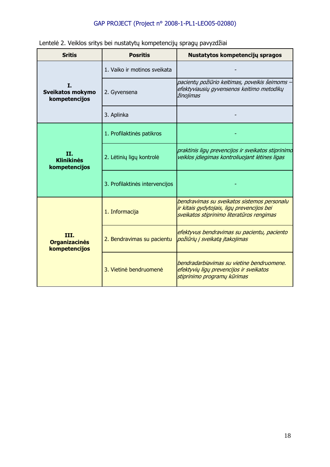|  |  | Lentelė 2. Veiklos sritys bei nustatytų kompetencijų spragų pavyzdžiai |
|--|--|------------------------------------------------------------------------|
|  |  |                                                                        |

| <b>Sritis</b>                                    | <b>Posritis</b>                | Nustatytos kompetencijų spragos                                                                                                        |
|--------------------------------------------------|--------------------------------|----------------------------------------------------------------------------------------------------------------------------------------|
|                                                  | 1. Vaiko ir motinos sveikata   |                                                                                                                                        |
| I.<br>Sveikatos mokymo<br>kompetencijos          | 2. Gyvensena                   | pacientų požiūrio keitimas, poveikis šeimoms –<br>efektyviausių gyvensenos keitimo metodikų<br>žinojimas                               |
|                                                  | 3. Aplinka                     |                                                                                                                                        |
|                                                  | 1. Profilaktinės patikros      |                                                                                                                                        |
| <b>II.</b><br><b>Klinikinės</b><br>kompetencijos | 2. Lėtinių ligų kontrolė       | praktinis ligų prevencijos ir sveikatos stiprinimo<br>veiklos įdiegimas kontroliuojant lėtines ligas                                   |
|                                                  | 3. Profilaktinės intervencijos |                                                                                                                                        |
|                                                  | 1. Informacija                 | bendravimas su sveikatos sistemos personalu<br>ir kitais gydytojais, ligų prevencijos bei<br>sveikatos stiprinimo literatūros rengimas |
| III.<br><b>Organizacinės</b><br>kompetencijos    | 2. Bendravimas su pacientu     | efektyvus bendravimas su pacientu, paciento<br>požiūrių į sveikatą įtakojimas                                                          |
|                                                  | 3. Vietinė bendruomenė         | bendradarbiavimas su vietine bendruomene.<br>efektyvių ligų prevencijos ir sveikatos<br>stiprinimo programų kūrimas                    |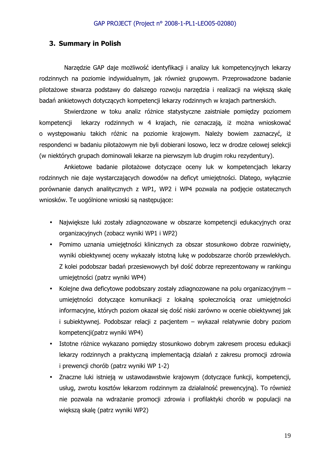### **3. Summary in Polish**

Narzędzie GAP daje możliwość identyfikacji i analizy luk kompetencyjnych lekarzy rodzinnych na poziomie indywidualnym, jak również grupowym. Przeprowadzone badanie pilotażowe stwarza podstawy do dalszego rozwoju narzędzia i realizacji na większą skalę badań ankietowych dotyczących kompetencji lekarzy rodzinnych w krajach partnerskich.

Stwierdzone w toku analiz różnice statystyczne zaistniałe pomiędzy poziomem kompetencji lekarzy rodzinnych w 4 krajach, nie oznaczają, iż można wnioskować o występowaniu takich różnic na poziomie krajowym. Należy bowiem zaznaczyć, iż respondenci w badaniu pilotażowym nie byli dobierani losowo, lecz w drodze celowej selekcji (w niektórych grupach dominowali lekarze na pierwszym lub drugim roku rezydentury).

Ankietowe badanie pilotażowe dotyczące oceny luk w kompetencjach lekarzy rodzinnych nie daje wystarczających dowodów na deficyt umiejętności. Dlatego, wyłącznie porównanie danych analitycznych z WP1, WP2 i WP4 pozwala na podjęcie ostatecznych wniosków. Te uogólnione wnioski są następujące:

- Największe luki zostały zdiagnozowane w obszarze kompetencji edukacyjnych oraz organizacyjnych (zobacz wyniki WP1 i WP2)
- Pomimo uznania umiejętności klinicznych za obszar stosunkowo dobrze rozwinięty, wyniki obiektywnej oceny wykazały istotną lukę w podobszarze chorób przewlekłych. Z kolei podobszar badań przesiewowych był dość dobrze reprezentowany w rankingu umiejętności (patrz wyniki WP4)
- Kolejne dwa deficytowe podobszary zostały zdiagnozowane na polu organizacyjnym umiejętności dotyczące komunikacji z lokalną społecznością oraz umiejętności informacyjne, których poziom okazał się dość niski zarówno w ocenie obiektywnej jak i subiektywnej. Podobszar relacji z pacjentem – wykazał relatywnie dobry poziom kompetencji(patrz wyniki WP4)
- Istotne różnice wykazano pomiędzy stosunkowo dobrym zakresem procesu edukacji lekarzy rodzinnych a praktyczną implementacją działań z zakresu promocji zdrowia i prewencji chorób (patrz wyniki WP 1-2)
- Znaczne luki istnieją w ustawodawstwie krajowym (dotyczące funkcji, kompetencji, usług, zwrotu kosztów lekarzom rodzinnym za działalność prewencyjną). To również nie pozwala na wdrażanie promocji zdrowia i profilaktyki chorób w populacji na większą skalę (patrz wyniki WP2)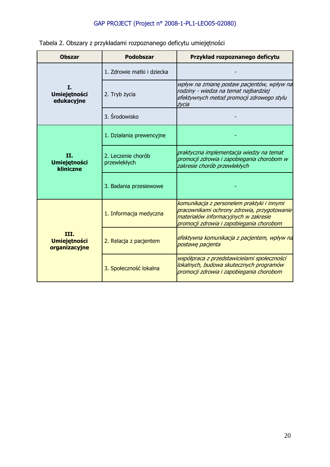|  |  | Tabela 2. Obszary z przykładami rozpoznanego deficytu umiejętności |  |
|--|--|--------------------------------------------------------------------|--|
|  |  |                                                                    |  |

| <b>Obszar</b><br><b>Podobszar</b>            |                                    | Przykład rozpoznanego deficytu                                                                                                                                                |  |  |
|----------------------------------------------|------------------------------------|-------------------------------------------------------------------------------------------------------------------------------------------------------------------------------|--|--|
|                                              | 1. Zdrowie matki i dziecka         |                                                                                                                                                                               |  |  |
| I.<br><b>Umiejętności</b><br>edukacyjne      | 2. Tryb życia                      | wpływ na zmianę postaw pacjentów, wpływ na<br>rodziny - wiedza na temat najbardziej<br>efektywnych metod promocji zdrowego stylu<br>życia                                     |  |  |
|                                              | 3. Środowisko                      |                                                                                                                                                                               |  |  |
|                                              | 1. Działania prewencyjne           |                                                                                                                                                                               |  |  |
| II.<br><b>Umiejętności</b><br>kliniczne      | 2. Leczenie chorób<br>przewlekłych | praktyczna implementacja wiedzy na temat<br>promocji zdrowia i zapobiegania chorobom w<br>zakresie chorób przewlekłych                                                        |  |  |
|                                              | 3. Badania przesiewowe             |                                                                                                                                                                               |  |  |
|                                              | 1. Informacja medyczna             | komunikacja z personelem praktyki i innymi<br>pracownikami ochrony zdrowia, przygotowanie<br>materiałów informacyjnych w zakresie<br>promocji zdrowia i zapobiegania chorobom |  |  |
| III.<br><b>Umiejętności</b><br>organizacyjne | 2. Relacja z pacjentem             | efektywna komunikacja z pacjentem, wpływ na<br>postawę pacjenta                                                                                                               |  |  |
|                                              | 3. Społeczność lokalna             | współpraca z przedstawicielami społeczności<br>lokalnych, budowa skutecznych programów<br>promocji zdrowia i zapobiegania chorobom                                            |  |  |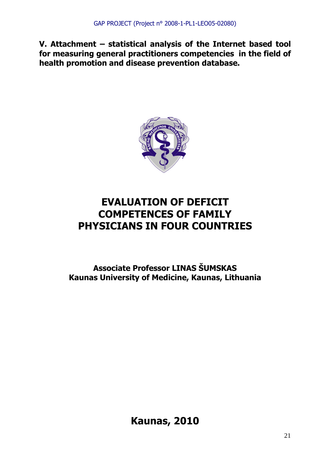**V. Attachment – statistical analysis of the Internet based tool for measuring general practitioners competencies in the field of health promotion and disease prevention database.** 



# **EVALUATION OF DEFICIT COMPETENCES OF FAMILY PHYSICIANS IN FOUR COUNTRIES**

**Associate Professor LINAS ŠUMSKAS Kaunas University of Medicine, Kaunas, Lithuania** 

**Kaunas, 2010**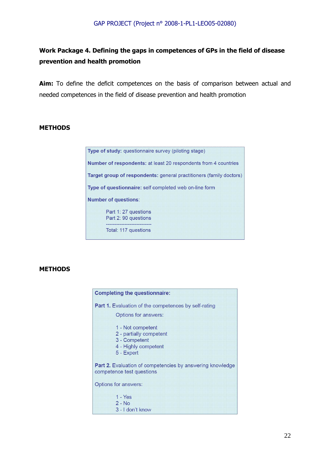### **Work Package 4. Defining the gaps in competences of GPs in the field of disease prevention and health promotion**

Aim: To define the deficit competences on the basis of comparison between actual and needed competences in the field of disease prevention and health promotion

#### **METHODS**

Type of study: questionnaire survey (piloting stage) Number of respondents: at least 20 respondents from 4 countries Target group of respondents: general practitioners (family doctors) Type of questionnaire: self completed web on-line form **Number of questions:** Part 1: 27 questions Part 2: 90 questions Total: 117 questions

#### **METHODS**

| <b>Completing the questionnaire:</b>                                                                |  |  |  |  |
|-----------------------------------------------------------------------------------------------------|--|--|--|--|
| <b>Part 1.</b> Evaluation of the competences by self-rating                                         |  |  |  |  |
| Options for answers:                                                                                |  |  |  |  |
| 1 - Not competent<br>2 - partially competent<br>3 - Competent<br>4 - Highly competent<br>5 - Expert |  |  |  |  |
| <b>Part 2.</b> Evaluation of competencies by answering knowledge<br>competence test questions       |  |  |  |  |
| <b>Options for answers:</b>                                                                         |  |  |  |  |
| $1 - Yes$<br>$2 - No$<br>3 - I don't know                                                           |  |  |  |  |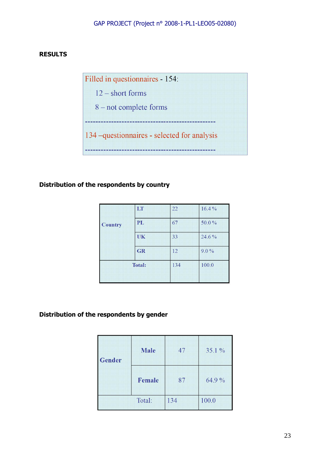### **RESULTS**

Filled in questionnaires - 154:  $12$  – short forms 8 – not complete forms ------134-questionnaires - selected for analysis 

### **Distribution of the respondents by country**

|                | LT        | 22  | 16.4%   |
|----------------|-----------|-----|---------|
| <b>Country</b> | PL        | 67  | 50.0%   |
|                | UK        | 33  | 24.6%   |
|                | <b>GR</b> | 12  | $9.0\%$ |
| <b>Total:</b>  |           | 134 | 100.0   |

### **Distribution of the respondents by gender**

| <b>Gender</b> | <b>Male</b> | 47  | 35.1 % |
|---------------|-------------|-----|--------|
|               | Female      | 87  | 64.9 % |
|               | Total:      | 134 | 100.0  |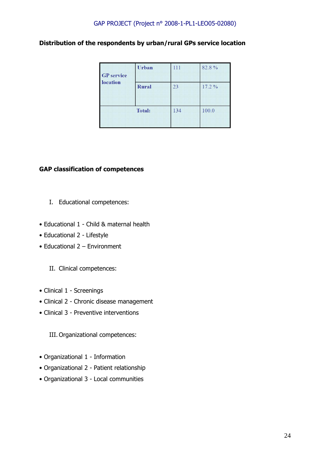### **Distribution of the respondents by urban/rural GPs service location**

| <b>GP</b> service<br>location | Urban         | 111 | 82.8% |
|-------------------------------|---------------|-----|-------|
|                               | <b>Rural</b>  | 23  | 17.2% |
|                               | <b>Total:</b> | 134 | 100.0 |

### **GAP classification of competences**

- I. Educational competences:
- Educational 1 Child & maternal health
- Educational 2 Lifestyle
- Educational 2 Environment
	- II. Clinical competences:
- Clinical 1 Screenings
- Clinical 2 Chronic disease management
- Clinical 3 Preventive interventions

III. Organizational competences:

- Organizational 1 Information
- Organizational 2 Patient relationship
- Organizational 3 Local communities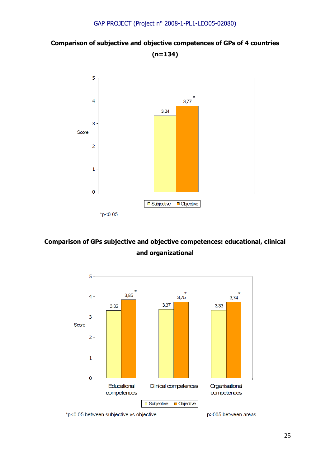### **Comparison of subjective and objective competences of GPs of 4 countries (n=134)**



### **Comparison of GPs subjective and objective competences: educational, clinical and organizational**





p>005 between areas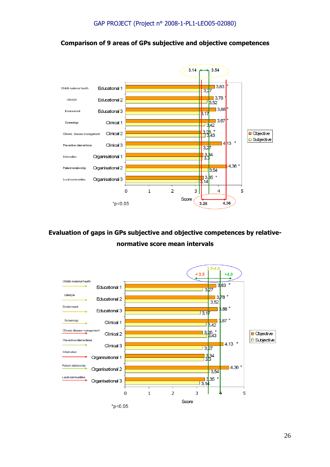

### **Comparison of 9 areas of GPs subjective and objective competences**

### **Evaluation of gaps in GPs subjective and objective competences by relativenormative score mean intervals**

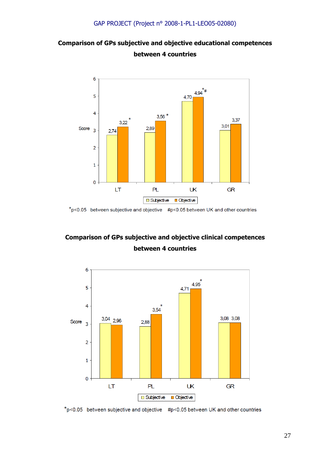### **Comparison of GPs subjective and objective educational competences between 4 countries**



 $*_{p<0.05}$  between subjective and objective #p<0.05 between UK and other countries

### **Comparison of GPs subjective and objective clinical competences between 4 countries**



 $*_{p<0.05}$  between subjective and objective #p<0.05 between UK and other countries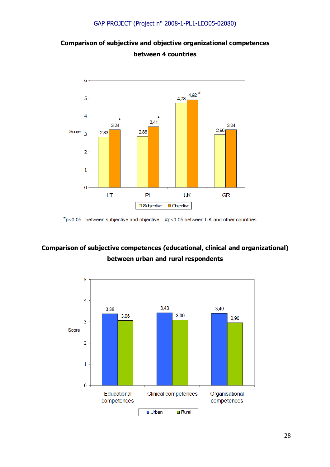



 $*_{p<0.05}$  between subjective and objective #p<0.05 between UK and other countries

### **Comparison of subjective competences (educational, clinical and organizational) between urban and rural respondents**

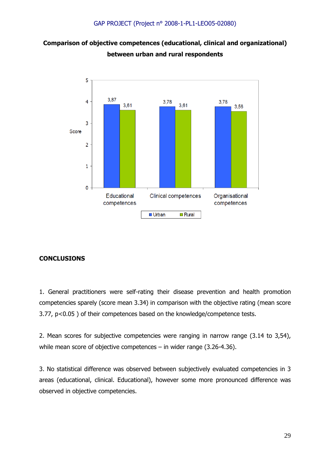### **Comparison of objective competences (educational, clinical and organizational) between urban and rural respondents**



### **CONCLUSIONS**

1. General practitioners were self-rating their disease prevention and health promotion competencies sparely (score mean 3.34) in comparison with the objective rating (mean score 3.77, p<0.05 ) of their competences based on the knowledge/competence tests.

2. Mean scores for subjective competencies were ranging in narrow range (3.14 to 3,54), while mean score of objective competences – in wider range (3.26-4.36).

3. No statistical difference was observed between subjectively evaluated competencies in 3 areas (educational, clinical. Educational), however some more pronounced difference was observed in objective competencies.